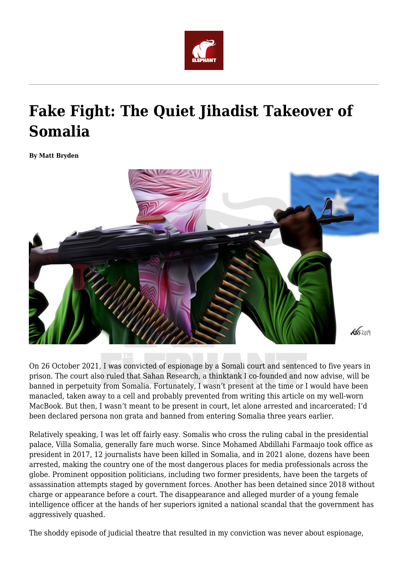

# **Fake Fight: The Quiet Jihadist Takeover of Somalia**

**By Matt Bryden**



On 26 October 2021, I was convicted of espionage by a Somali court and sentenced to five years in prison. The court also ruled that Sahan Research, a thinktank I co-founded and now advise, will be banned in perpetuity from Somalia. Fortunately, I wasn't present at the time or I would have been manacled, taken away to a cell and probably prevented from writing this article on my well-worn MacBook. But then, I wasn't meant to be present in court, let alone arrested and incarcerated: I'd been declared persona non grata and banned from entering Somalia three years earlier.

Relatively speaking, I was let off fairly easy. Somalis who cross the ruling cabal in the presidential palace, Villa Somalia, generally fare much worse. Since Mohamed Abdillahi Farmaajo took office as president in 2017, 12 journalists have been killed in Somalia, and in 2021 alone, dozens have been arrested, making the country one of the most dangerous places for media professionals across the globe. Prominent opposition politicians, including two former presidents, have been the targets of assassination attempts staged by government forces. Another has been detained since 2018 without charge or appearance before a court. The disappearance and alleged murder of a young female intelligence officer at the hands of her superiors ignited a national scandal that the government has aggressively quashed.

The shoddy episode of judicial theatre that resulted in my conviction was never about espionage,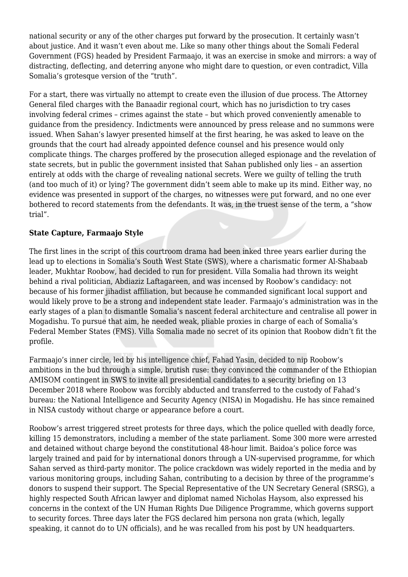national security or any of the other charges put forward by the prosecution. It certainly wasn't about justice. And it wasn't even about me. Like so many other things about the Somali Federal Government (FGS) headed by President Farmaajo, it was an exercise in smoke and mirrors: a way of distracting, deflecting, and deterring anyone who might dare to question, or even contradict, Villa Somalia's grotesque version of the "truth".

For a start, there was virtually no attempt to create even the illusion of due process. The Attorney General filed charges with the Banaadir regional court, which has no jurisdiction to try cases involving federal crimes – crimes against the state – but which proved conveniently amenable to guidance from the presidency. Indictments were announced by press release and no summons were issued. When Sahan's lawyer presented himself at the first hearing, he was asked to leave on the grounds that the court had already appointed defence counsel and his presence would only complicate things. The charges proffered by the prosecution alleged espionage and the revelation of state secrets, but in public the government insisted that Sahan published only lies – an assertion entirely at odds with the charge of revealing national secrets. Were we guilty of telling the truth (and too much of it) or lying? The government didn't seem able to make up its mind. Either way, no evidence was presented in support of the charges, no witnesses were put forward, and no one ever bothered to record statements from the defendants. It was, in the truest sense of the term, a "show trial".

## **State Capture, Farmaajo Style**

The first lines in the script of this courtroom drama had been inked three years earlier during the lead up to elections in Somalia's South West State (SWS), where a charismatic former Al-Shabaab leader, Mukhtar Roobow, had decided to run for president. Villa Somalia had thrown its weight behind a rival politician, Abdiaziz Laftagareen, and was incensed by Roobow's candidacy: not because of his former jihadist affiliation, but because he commanded significant local support and would likely prove to be a strong and independent state leader. Farmaajo's administration was in the early stages of a plan to dismantle Somalia's nascent federal architecture and centralise all power in Mogadishu. To pursue that aim, he needed weak, pliable proxies in charge of each of Somalia's Federal Member States (FMS). Villa Somalia made no secret of its opinion that Roobow didn't fit the profile.

Farmaajo's inner circle, led by his intelligence chief, Fahad Yasin, decided to nip Roobow's ambitions in the bud through a simple, brutish ruse: they convinced the commander of the Ethiopian AMISOM contingent in SWS to invite all presidential candidates to a security briefing on 13 December 2018 where Roobow was forcibly abducted and transferred to the custody of Fahad's bureau: the National Intelligence and Security Agency (NISA) in Mogadishu. He has since remained in NISA custody without charge or appearance before a court.

Roobow's arrest triggered street protests for three days, which the police quelled with deadly force, killing 15 demonstrators, including a member of the state parliament. Some 300 more were arrested and detained without charge beyond the constitutional 48-hour limit. Baidoa's police force was largely trained and paid for by international donors through a UN-supervised programme, for which Sahan served as third-party monitor. The police crackdown was widely reported in the media and by various monitoring groups, including Sahan, contributing to a decision by three of the programme's donors to suspend their support. The Special Representative of the UN Secretary General (SRSG), a highly respected South African lawyer and diplomat named Nicholas Haysom, also expressed his concerns in the context of the UN Human Rights Due Diligence Programme, which governs support to security forces. Three days later the FGS declared him persona non grata (which, legally speaking, it cannot do to UN officials), and he was recalled from his post by UN headquarters.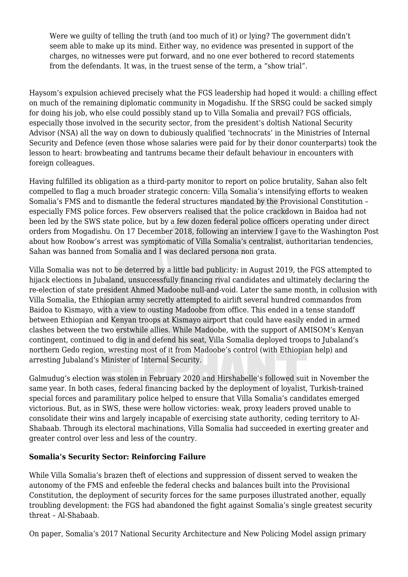Were we guilty of telling the truth (and too much of it) or lying? The government didn't seem able to make up its mind. Either way, no evidence was presented in support of the charges, no witnesses were put forward, and no one ever bothered to record statements from the defendants. It was, in the truest sense of the term, a "show trial".

Haysom's expulsion achieved precisely what the FGS leadership had hoped it would: a chilling effect on much of the remaining diplomatic community in Mogadishu. If the SRSG could be sacked simply for doing his job, who else could possibly stand up to Villa Somalia and prevail? FGS officials, especially those involved in the security sector, from the president's doltish National Security Advisor (NSA) all the way on down to dubiously qualified 'technocrats' in the Ministries of Internal Security and Defence (even those whose salaries were paid for by their donor counterparts) took the lesson to heart: browbeating and tantrums became their default behaviour in encounters with foreign colleagues.

Having fulfilled its obligation as a third-party monitor to report on police brutality, Sahan also felt compelled to flag a much broader strategic concern: Villa Somalia's intensifying efforts to weaken Somalia's FMS and to dismantle the federal structures mandated by the Provisional Constitution – especially FMS police forces. Few observers realised that the police crackdown in Baidoa had not been led by the SWS state police, but by a few dozen federal police officers operating under direct orders from Mogadishu. On 17 December 2018, following an interview I gave to the Washington Post about how Roobow's arrest was symptomatic of Villa Somalia's centralist, authoritarian tendencies, Sahan was banned from Somalia and I was declared persona non grata.

Villa Somalia was not to be deterred by a little bad publicity: in August 2019, the FGS attempted to hijack elections in Jubaland, unsuccessfully financing rival candidates and ultimately declaring the re-election of state president Ahmed Madoobe null-and-void. Later the same month, in collusion with Villa Somalia, the Ethiopian army secretly attempted to airlift several hundred commandos from Baidoa to Kismayo, with a view to ousting Madoobe from office. This ended in a tense standoff between Ethiopian and Kenyan troops at Kismayo airport that could have easily ended in armed clashes between the two erstwhile allies. While Madoobe, with the support of AMISOM's Kenyan contingent, continued to dig in and defend his seat, Villa Somalia deployed troops to Jubaland's northern Gedo region, wresting most of it from Madoobe's control (with Ethiopian help) and arresting Jubaland's Minister of Internal Security.

Galmudug's election was stolen in February 2020 and Hirshabelle's followed suit in November the same year. In both cases, federal financing backed by the deployment of loyalist, Turkish-trained special forces and paramilitary police helped to ensure that Villa Somalia's candidates emerged victorious. But, as in SWS, these were hollow victories: weak, proxy leaders proved unable to consolidate their wins and largely incapable of exercising state authority, ceding territory to Al-Shabaab. Through its electoral machinations, Villa Somalia had succeeded in exerting greater and greater control over less and less of the country.

### **Somalia's Security Sector: Reinforcing Failure**

While Villa Somalia's brazen theft of elections and suppression of dissent served to weaken the autonomy of the FMS and enfeeble the federal checks and balances built into the Provisional Constitution, the deployment of security forces for the same purposes illustrated another, equally troubling development: the FGS had abandoned the fight against Somalia's single greatest security threat – Al-Shabaab.

On paper, Somalia's 2017 National Security Architecture and New Policing Model assign primary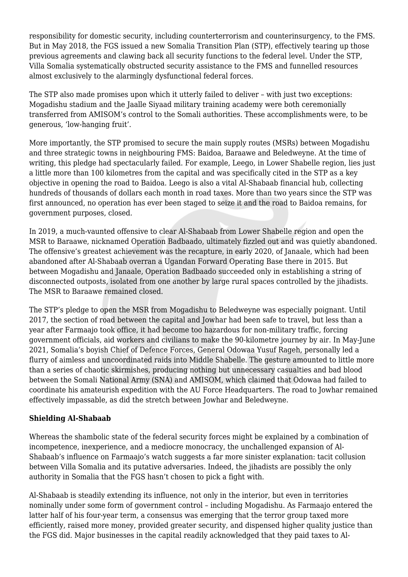responsibility for domestic security, including counterterrorism and counterinsurgency, to the FMS. But in May 2018, the FGS issued a new Somalia Transition Plan (STP), effectively tearing up those previous agreements and clawing back all security functions to the federal level. Under the STP, Villa Somalia systematically obstructed security assistance to the FMS and funnelled resources almost exclusively to the alarmingly dysfunctional federal forces.

The STP also made promises upon which it utterly failed to deliver – with just two exceptions: Mogadishu stadium and the Jaalle Siyaad military training academy were both ceremonially transferred from AMISOM's control to the Somali authorities. These accomplishments were, to be generous, 'low-hanging fruit'.

More importantly, the STP promised to secure the main supply routes (MSRs) between Mogadishu and three strategic towns in neighbouring FMS: Baidoa, Baraawe and Beledweyne. At the time of writing, this pledge had spectacularly failed. For example, Leego, in Lower Shabelle region, lies just a little more than 100 kilometres from the capital and was specifically cited in the STP as a key objective in opening the road to Baidoa. Leego is also a vital Al-Shabaab financial hub, collecting hundreds of thousands of dollars each month in road taxes. More than two years since the STP was first announced, no operation has ever been staged to seize it and the road to Baidoa remains, for government purposes, closed.

In 2019, a much-vaunted offensive to clear Al-Shabaab from Lower Shabelle region and open the MSR to Baraawe, nicknamed Operation Badbaado, ultimately fizzled out and was quietly abandoned. The offensive's greatest achievement was the recapture, in early 2020, of Janaale, which had been abandoned after Al-Shabaab overran a Ugandan Forward Operating Base there in 2015. But between Mogadishu and Janaale, Operation Badbaado succeeded only in establishing a string of disconnected outposts, isolated from one another by large rural spaces controlled by the jihadists. The MSR to Baraawe remained closed.

The STP's pledge to open the MSR from Mogadishu to Beledweyne was especially poignant. Until 2017, the section of road between the capital and Jowhar had been safe to travel, but less than a year after Farmaajo took office, it had become too hazardous for non-military traffic, forcing government officials, aid workers and civilians to make the 90-kilometre journey by air. In May-June 2021, Somalia's boyish Chief of Defence Forces, General Odowaa Yusuf Rageh, personally led a flurry of aimless and uncoordinated raids into Middle Shabelle. The gesture amounted to little more than a series of chaotic skirmishes, producing nothing but unnecessary casualties and bad blood between the Somali National Army (SNA) and AMISOM, which claimed that Odowaa had failed to coordinate his amateurish expedition with the AU Force Headquarters. The road to Jowhar remained effectively impassable, as did the stretch between Jowhar and Beledweyne.

## **Shielding Al-Shabaab**

Whereas the shambolic state of the federal security forces might be explained by a combination of incompetence, inexperience, and a mediocre monocracy, the unchallenged expansion of Al-Shabaab's influence on Farmaajo's watch suggests a far more sinister explanation: tacit collusion between Villa Somalia and its putative adversaries. Indeed, the jihadists are possibly the only authority in Somalia that the FGS hasn't chosen to pick a fight with.

Al-Shabaab is steadily extending its influence, not only in the interior, but even in territories nominally under some form of government control – including Mogadishu. As Farmaajo entered the latter half of his four-year term, a consensus was emerging that the terror group taxed more efficiently, raised more money, provided greater security, and dispensed higher quality justice than the FGS did. Major businesses in the capital readily acknowledged that they paid taxes to Al-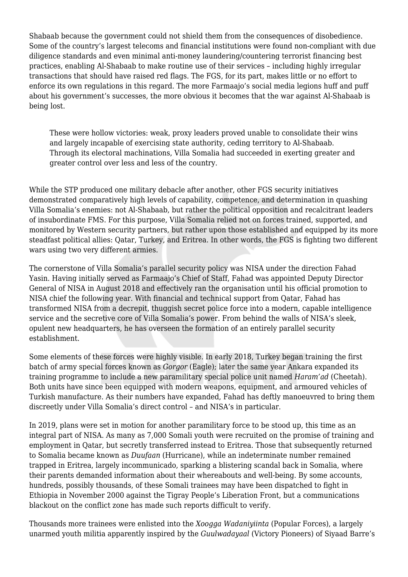Shabaab because the government could not shield them from the consequences of disobedience. Some of the country's largest telecoms and financial institutions were found non-compliant with due diligence standards and even minimal anti-money laundering/countering terrorist financing best practices, enabling Al-Shabaab to make routine use of their services – including highly irregular transactions that should have raised red flags. The FGS, for its part, makes little or no effort to enforce its own regulations in this regard. The more Farmaajo's social media legions huff and puff about his government's successes, the more obvious it becomes that the war against Al-Shabaab is being lost.

These were hollow victories: weak, proxy leaders proved unable to consolidate their wins and largely incapable of exercising state authority, ceding territory to Al-Shabaab. Through its electoral machinations, Villa Somalia had succeeded in exerting greater and greater control over less and less of the country.

While the STP produced one military debacle after another, other FGS security initiatives demonstrated comparatively high levels of capability, competence, and determination in quashing Villa Somalia's enemies: not Al-Shabaab, but rather the political opposition and recalcitrant leaders of insubordinate FMS. For this purpose, Villa Somalia relied not on forces trained, supported, and monitored by Western security partners, but rather upon those established and equipped by its more steadfast political allies: Qatar, Turkey, and Eritrea. In other words, the FGS is fighting two different wars using two very different armies.

The cornerstone of Villa Somalia's parallel security policy was NISA under the direction Fahad Yasin. Having initially served as Farmaajo's Chief of Staff, Fahad was appointed Deputy Director General of NISA in August 2018 and effectively ran the organisation until his official promotion to NISA chief the following year. With financial and technical support from Qatar, Fahad has transformed NISA from a decrepit, thuggish secret police force into a modern, capable intelligence service and the secretive core of Villa Somalia's power. From behind the walls of NISA's sleek, opulent new headquarters, he has overseen the formation of an entirely parallel security establishment.

Some elements of these forces were highly visible. In early 2018, Turkey began training the first batch of army special forces known as *Gorgor* (Eagle); later the same year Ankara expanded its training programme to include a new paramilitary special police unit named *Haram'ad* (Cheetah). Both units have since been equipped with modern weapons, equipment, and armoured vehicles of Turkish manufacture. As their numbers have expanded, Fahad has deftly manoeuvred to bring them discreetly under Villa Somalia's direct control – and NISA's in particular.

In 2019, plans were set in motion for another paramilitary force to be stood up, this time as an integral part of NISA. As many as 7,000 Somali youth were recruited on the promise of training and employment in Qatar, but secretly transferred instead to Eritrea. Those that subsequently returned to Somalia became known as *Duufaan* (Hurricane), while an indeterminate number remained trapped in Eritrea, largely incommunicado, sparking a blistering scandal back in Somalia, where their parents demanded information about their whereabouts and well-being. By some accounts, hundreds, possibly thousands, of these Somali trainees may have been dispatched to fight in Ethiopia in November 2000 against the Tigray People's Liberation Front, but a communications blackout on the conflict zone has made such reports difficult to verify.

Thousands more trainees were enlisted into the *Xoogga Wadaniyiinta* (Popular Forces), a largely unarmed youth militia apparently inspired by the *Guulwadayaal* (Victory Pioneers) of Siyaad Barre's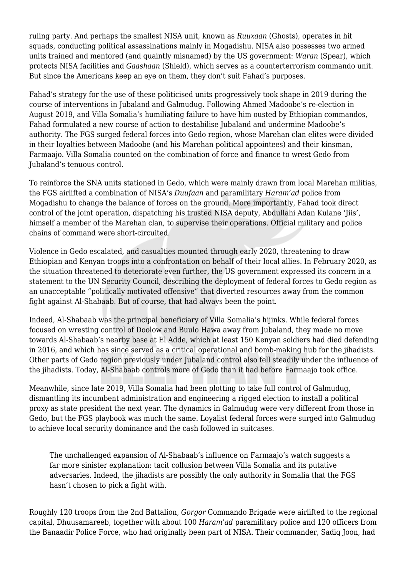ruling party. And perhaps the smallest NISA unit, known as *Ruuxaan* (Ghosts), operates in hit squads, conducting political assassinations mainly in Mogadishu. NISA also possesses two armed units trained and mentored (and quaintly misnamed) by the US government: *Waran* (Spear), which protects NISA facilities and *Gaashaan* (Shield), which serves as a counterterrorism commando unit. But since the Americans keep an eye on them, they don't suit Fahad's purposes.

Fahad's strategy for the use of these politicised units progressively took shape in 2019 during the course of interventions in Jubaland and Galmudug. Following Ahmed Madoobe's re-election in August 2019, and Villa Somalia's humiliating failure to have him ousted by Ethiopian commandos, Fahad formulated a new course of action to destabilise Jubaland and undermine Madoobe's authority. The FGS surged federal forces into Gedo region, whose Marehan clan elites were divided in their loyalties between Madoobe (and his Marehan political appointees) and their kinsman, Farmaajo. Villa Somalia counted on the combination of force and finance to wrest Gedo from Jubaland's tenuous control.

To reinforce the SNA units stationed in Gedo, which were mainly drawn from local Marehan militias, the FGS airlifted a combination of NISA's *Duufaan* and paramilitary *Haram'ad* police from Mogadishu to change the balance of forces on the ground. More importantly, Fahad took direct control of the joint operation, dispatching his trusted NISA deputy, Abdullahi Adan Kulane 'Jiis', himself a member of the Marehan clan, to supervise their operations. Official military and police chains of command were short-circuited.

Violence in Gedo escalated, and casualties mounted through early 2020, threatening to draw Ethiopian and Kenyan troops into a confrontation on behalf of their local allies. In February 2020, as the situation threatened to deteriorate even further, the US government expressed its concern in a statement to the UN Security Council, describing the deployment of federal forces to Gedo region as an unacceptable "politically motivated offensive" that diverted resources away from the common fight against Al-Shabaab. But of course, that had always been the point.

Indeed, Al-Shabaab was the principal beneficiary of Villa Somalia's hijinks. While federal forces focused on wresting control of Doolow and Buulo Hawa away from Jubaland, they made no move towards Al-Shabaab's nearby base at El Adde, which at least 150 Kenyan soldiers had died defending in 2016, and which has since served as a critical operational and bomb-making hub for the jihadists. Other parts of Gedo region previously under Jubaland control also fell steadily under the influence of the jihadists. Today, Al-Shabaab controls more of Gedo than it had before Farmaajo took office.

Meanwhile, since late 2019, Villa Somalia had been plotting to take full control of Galmudug, dismantling its incumbent administration and engineering a rigged election to install a political proxy as state president the next year. The dynamics in Galmudug were very different from those in Gedo, but the FGS playbook was much the same. Loyalist federal forces were surged into Galmudug to achieve local security dominance and the cash followed in suitcases.

The unchallenged expansion of Al-Shabaab's influence on Farmaajo's watch suggests a far more sinister explanation: tacit collusion between Villa Somalia and its putative adversaries. Indeed, the jihadists are possibly the only authority in Somalia that the FGS hasn't chosen to pick a fight with.

Roughly 120 troops from the 2nd Battalion, *Gorgor* Commando Brigade were airlifted to the regional capital, Dhuusamareeb, together with about 100 *Haram'ad* paramilitary police and 120 officers from the Banaadir Police Force, who had originally been part of NISA. Their commander, Sadiq Joon, had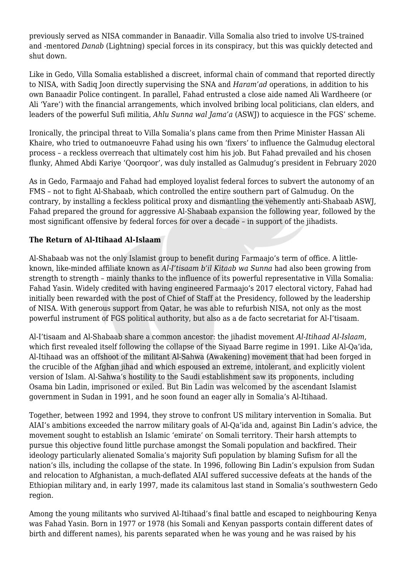previously served as NISA commander in Banaadir. Villa Somalia also tried to involve US-trained and -mentored *Danab* (Lightning) special forces in its conspiracy, but this was quickly detected and shut down.

Like in Gedo, Villa Somalia established a discreet, informal chain of command that reported directly to NISA, with Sadiq Joon directly supervising the SNA and *Haram'ad* operations, in addition to his own Banaadir Police contingent. In parallel, Fahad entrusted a close aide named Ali Wardheere (or Ali 'Yare') with the financial arrangements, which involved bribing local politicians, clan elders, and leaders of the powerful Sufi militia, *Ahlu Sunna wal Jama'a* (ASWJ) to acquiesce in the FGS' scheme.

Ironically, the principal threat to Villa Somalia's plans came from then Prime Minister Hassan Ali Khaire, who tried to outmanoeuvre Fahad using his own 'fixers' to influence the Galmudug electoral process – a reckless overreach that ultimately cost him his job. But Fahad prevailed and his chosen flunky, Ahmed Abdi Kariye 'Qoorqoor', was duly installed as Galmudug's president in February 2020

As in Gedo, Farmaajo and Fahad had employed loyalist federal forces to subvert the autonomy of an FMS – not to fight Al-Shabaab, which controlled the entire southern part of Galmudug. On the contrary, by installing a feckless political proxy and dismantling the vehemently anti-Shabaab ASWJ, Fahad prepared the ground for aggressive Al-Shabaab expansion the following year, followed by the most significant offensive by federal forces for over a decade – in support of the jihadists.

# **The Return of Al-Itihaad Al-Islaam**

Al-Shabaab was not the only Islamist group to benefit during Farmaajo's term of office. A littleknown, like-minded affiliate known as *Al-I'tisaam b'il Kitaab wa Sunna* had also been growing from strength to strength – mainly thanks to the influence of its powerful representative in Villa Somalia: Fahad Yasin. Widely credited with having engineered Farmaajo's 2017 electoral victory, Fahad had initially been rewarded with the post of Chief of Staff at the Presidency, followed by the leadership of NISA. With generous support from Qatar, he was able to refurbish NISA, not only as the most powerful instrument of FGS political authority, but also as a de facto secretariat for Al-I'tisaam.

Al-I'tisaam and Al-Shabaab share a common ancestor: the jihadist movement *Al-Itihaad Al-Islaam*, which first revealed itself following the collapse of the Siyaad Barre regime in 1991. Like Al-Qa'ida, Al-Itihaad was an offshoot of the militant Al-Sahwa (Awakening) movement that had been forged in the crucible of the Afghan jihad and which espoused an extreme, intolerant, and explicitly violent version of Islam. Al-Sahwa's hostility to the Saudi establishment saw its proponents, including Osama bin Ladin, imprisoned or exiled. But Bin Ladin was welcomed by the ascendant Islamist government in Sudan in 1991, and he soon found an eager ally in Somalia's Al-Itihaad.

Together, between 1992 and 1994, they strove to confront US military intervention in Somalia. But AIAI's ambitions exceeded the narrow military goals of Al-Qa'ida and, against Bin Ladin's advice, the movement sought to establish an Islamic 'emirate' on Somali territory. Their harsh attempts to pursue this objective found little purchase amongst the Somali population and backfired. Their ideology particularly alienated Somalia's majority Sufi population by blaming Sufism for all the nation's ills, including the collapse of the state. In 1996, following Bin Ladin's expulsion from Sudan and relocation to Afghanistan, a much-deflated AIAI suffered successive defeats at the hands of the Ethiopian military and, in early 1997, made its calamitous last stand in Somalia's southwestern Gedo region.

Among the young militants who survived Al-Itihaad's final battle and escaped to neighbouring Kenya was Fahad Yasin. Born in 1977 or 1978 (his Somali and Kenyan passports contain different dates of birth and different names), his parents separated when he was young and he was raised by his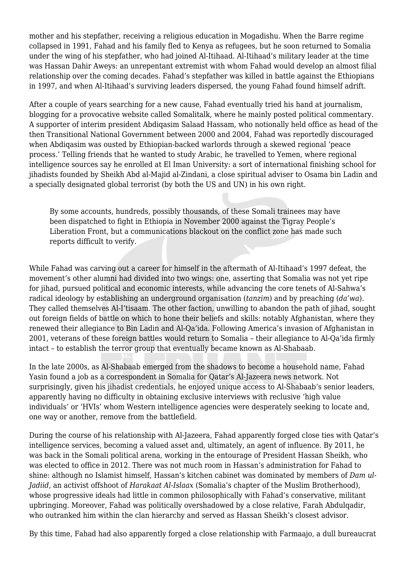mother and his stepfather, receiving a religious education in Mogadishu. When the Barre regime collapsed in 1991, Fahad and his family fled to Kenya as refugees, but he soon returned to Somalia under the wing of his stepfather, who had joined Al-Itihaad. Al-Itihaad's military leader at the time was Hassan Dahir Aweys: an unrepentant extremist with whom Fahad would develop an almost filial relationship over the coming decades. Fahad's stepfather was killed in battle against the Ethiopians in 1997, and when Al-Itihaad's surviving leaders dispersed, the young Fahad found himself adrift.

After a couple of years searching for a new cause, Fahad eventually tried his hand at journalism, blogging for a provocative website called Somalitalk, where he mainly posted political commentary. A supporter of interim president Abdiqasim Salaad Hassam, who notionally held office as head of the then Transitional National Government between 2000 and 2004, Fahad was reportedly discouraged when Abdiqasim was ousted by Ethiopian-backed warlords through a skewed regional 'peace process.' Telling friends that he wanted to study Arabic, he travelled to Yemen, where regional intelligence sources say he enrolled at El Iman University: a sort of international finishing school for jihadists founded by Sheikh Abd al-Majid al-Zindani, a close spiritual adviser to Osama bin Ladin and a specially designated global terrorist (by both the US and UN) in his own right.

By some accounts, hundreds, possibly thousands, of these Somali trainees may have been dispatched to fight in Ethiopia in November 2000 against the Tigray People's Liberation Front, but a communications blackout on the conflict zone has made such reports difficult to verify.

While Fahad was carving out a career for himself in the aftermath of Al-Itihaad's 1997 defeat, the movement's other alumni had divided into two wings: one, asserting that Somalia was not yet ripe for jihad, pursued political and economic interests, while advancing the core tenets of Al-Sahwa's radical ideology by establishing an underground organisation (*tanzim*) and by preaching (*da'wa*). They called themselves Al-I'tisaam. The other faction, unwilling to abandon the path of jihad, sought out foreign fields of battle on which to hone their beliefs and skills: notably Afghanistan, where they renewed their allegiance to Bin Ladin and Al-Qa'ida. Following America's invasion of Afghanistan in 2001, veterans of these foreign battles would return to Somalia – their allegiance to Al-Qa'ida firmly intact – to establish the terror group that eventually became known as Al-Shabaab.

In the late 2000s, as Al-Shabaab emerged from the shadows to become a household name, Fahad Yasin found a job as a correspondent in Somalia for Qatar's Al-Jazeera news network. Not surprisingly, given his jihadist credentials, he enjoyed unique access to Al-Shabaab's senior leaders, apparently having no difficulty in obtaining exclusive interviews with reclusive 'high value individuals' or 'HVIs' whom Western intelligence agencies were desperately seeking to locate and, one way or another, remove from the battlefield.

During the course of his relationship with Al-Jazeera, Fahad apparently forged close ties with Qatar's intelligence services, becoming a valued asset and, ultimately, an agent of influence. By 2011, he was back in the Somali political arena, working in the entourage of President Hassan Sheikh, who was elected to office in 2012. There was not much room in Hassan's administration for Fahad to shine: although no Islamist himself, Hassan's kitchen cabinet was dominated by members of *Dam ul-Jadiid*, an activist offshoot of *Harakaat Al-Islaax* (Somalia's chapter of the Muslim Brotherhood), whose progressive ideals had little in common philosophically with Fahad's conservative, militant upbringing. Moreover, Fahad was politically overshadowed by a close relative, Farah Abdulqadir, who outranked him within the clan hierarchy and served as Hassan Sheikh's closest advisor.

By this time, Fahad had also apparently forged a close relationship with Farmaajo, a dull bureaucrat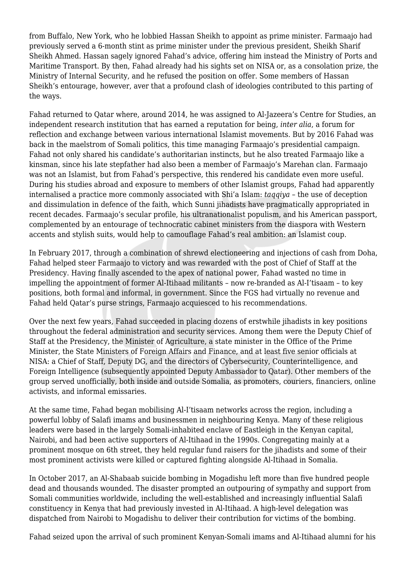from Buffalo, New York, who he lobbied Hassan Sheikh to appoint as prime minister. Farmaajo had previously served a 6-month stint as prime minister under the previous president, Sheikh Sharif Sheikh Ahmed. Hassan sagely ignored Fahad's advice, offering him instead the Ministry of Ports and Maritime Transport. By then, Fahad already had his sights set on NISA or, as a consolation prize, the Ministry of Internal Security, and he refused the position on offer. Some members of Hassan Sheikh's entourage, however, aver that a profound clash of ideologies contributed to this parting of the ways.

Fahad returned to Qatar where, around 2014, he was assigned to Al-Jazeera's Centre for Studies, an independent research institution that has earned a reputation for being, *inter alia*, a forum for reflection and exchange between various international Islamist movements. But by 2016 Fahad was back in the maelstrom of Somali politics, this time managing Farmaajo's presidential campaign. Fahad not only shared his candidate's authoritarian instincts, but he also treated Farmaajo like a kinsman, since his late stepfather had also been a member of Farmaajo's Marehan clan. Farmaajo was not an Islamist, but from Fahad's perspective, this rendered his candidate even more useful. During his studies abroad and exposure to members of other Islamist groups, Fahad had apparently internalised a practice more commonly associated with Shi'a Islam: *taqqiya* – the use of deception and dissimulation in defence of the faith, which Sunni jihadists have pragmatically appropriated in recent decades. Farmaajo's secular profile, his ultranationalist populism, and his American passport, complemented by an entourage of technocratic cabinet ministers from the diaspora with Western accents and stylish suits, would help to camouflage Fahad's real ambition: an Islamist coup.

In February 2017, through a combination of shrewd electioneering and injections of cash from Doha, Fahad helped steer Farmaajo to victory and was rewarded with the post of Chief of Staff at the Presidency. Having finally ascended to the apex of national power, Fahad wasted no time in impelling the appointment of former Al-Itihaad militants – now re-branded as Al-I'tisaam – to key positions, both formal and informal, in government. Since the FGS had virtually no revenue and Fahad held Qatar's purse strings, Farmaajo acquiesced to his recommendations.

Over the next few years, Fahad succeeded in placing dozens of erstwhile jihadists in key positions throughout the federal administration and security services. Among them were the Deputy Chief of Staff at the Presidency, the Minister of Agriculture, a state minister in the Office of the Prime Minister, the State Ministers of Foreign Affairs and Finance, and at least five senior officials at NISA: a Chief of Staff, Deputy DG, and the directors of Cybersecurity, Counterintelligence, and Foreign Intelligence (subsequently appointed Deputy Ambassador to Qatar). Other members of the group served unofficially, both inside and outside Somalia, as promoters, couriers, financiers, online activists, and informal emissaries.

At the same time, Fahad began mobilising Al-I'tisaam networks across the region, including a powerful lobby of Salafi imams and businessmen in neighbouring Kenya. Many of these religious leaders were based in the largely Somali-inhabited enclave of Eastleigh in the Kenyan capital, Nairobi, and had been active supporters of Al-Itihaad in the 1990s. Congregating mainly at a prominent mosque on 6th street, they held regular fund raisers for the jihadists and some of their most prominent activists were killed or captured fighting alongside Al-Itihaad in Somalia.

In October 2017, an Al-Shabaab suicide bombing in Mogadishu left more than five hundred people dead and thousands wounded. The disaster prompted an outpouring of sympathy and support from Somali communities worldwide, including the well-established and increasingly influential Salafi constituency in Kenya that had previously invested in Al-Itihaad. A high-level delegation was dispatched from Nairobi to Mogadishu to deliver their contribution for victims of the bombing.

Fahad seized upon the arrival of such prominent Kenyan-Somali imams and Al-Itihaad alumni for his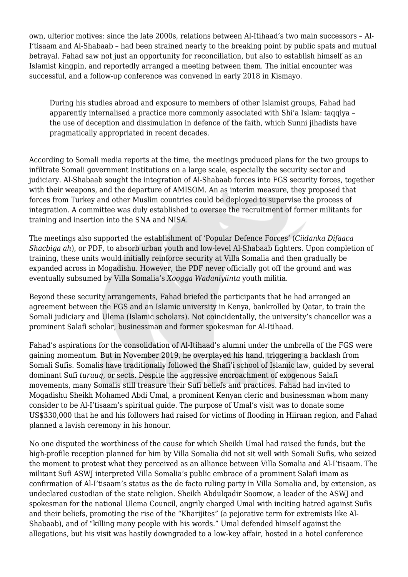own, ulterior motives: since the late 2000s, relations between Al-Itihaad's two main successors – Al-I'tisaam and Al-Shabaab – had been strained nearly to the breaking point by public spats and mutual betrayal. Fahad saw not just an opportunity for reconciliation, but also to establish himself as an Islamist kingpin, and reportedly arranged a meeting between them. The initial encounter was successful, and a follow-up conference was convened in early 2018 in Kismayo.

During his studies abroad and exposure to members of other Islamist groups, Fahad had apparently internalised a practice more commonly associated with Shi'a Islam: taqqiya – the use of deception and dissimulation in defence of the faith, which Sunni jihadists have pragmatically appropriated in recent decades.

According to Somali media reports at the time, the meetings produced plans for the two groups to infiltrate Somali government institutions on a large scale, especially the security sector and judiciary. Al-Shabaab sought the integration of Al-Shabaab forces into FGS security forces, together with their weapons, and the departure of AMISOM. An as interim measure, they proposed that forces from Turkey and other Muslim countries could be deployed to supervise the process of integration. A committee was duly established to oversee the recruitment of former militants for training and insertion into the SNA and NISA.

The meetings also supported the establishment of 'Popular Defence Forces' (*Ciidanka Difaaca Shacbiga ah*), or PDF, to absorb urban youth and low-level Al-Shabaab fighters. Upon completion of training, these units would initially reinforce security at Villa Somalia and then gradually be expanded across in Mogadishu. However, the PDF never officially got off the ground and was eventually subsumed by Villa Somalia's *Xoogga Wadaniyiinta* youth militia.

Beyond these security arrangements, Fahad briefed the participants that he had arranged an agreement between the FGS and an Islamic university in Kenya, bankrolled by Qatar, to train the Somali judiciary and Ulema (Islamic scholars). Not coincidentally, the university's chancellor was a prominent Salafi scholar, businessman and former spokesman for Al-Itihaad.

Fahad's aspirations for the consolidation of Al-Itihaad's alumni under the umbrella of the FGS were gaining momentum. But in November 2019, he overplayed his hand, triggering a backlash from Somali Sufis. Somalis have traditionally followed the Shafi'i school of Islamic law, guided by several dominant Sufi *turuuq*, or sects. Despite the aggressive encroachment of exogenous Salafi movements, many Somalis still treasure their Sufi beliefs and practices. Fahad had invited to Mogadishu Sheikh Mohamed Abdi Umal, a prominent Kenyan cleric and businessman whom many consider to be Al-I'tisaam's spiritual guide. The purpose of Umal's visit was to donate some US\$330,000 that he and his followers had raised for victims of flooding in Hiiraan region, and Fahad planned a lavish ceremony in his honour.

No one disputed the worthiness of the cause for which Sheikh Umal had raised the funds, but the high-profile reception planned for him by Villa Somalia did not sit well with Somali Sufis, who seized the moment to protest what they perceived as an alliance between Villa Somalia and Al-I'tisaam. The militant Sufi ASWJ interpreted Villa Somalia's public embrace of a prominent Salafi imam as confirmation of Al-I'tisaam's status as the de facto ruling party in Villa Somalia and, by extension, as undeclared custodian of the state religion. Sheikh Abdulqadir Soomow, a leader of the ASWJ and spokesman for the national Ulema Council, angrily charged Umal with inciting hatred against Sufis and their beliefs, promoting the rise of the "Kharijites" (a pejorative term for extremists like Al-Shabaab), and of "killing many people with his words." Umal defended himself against the allegations, but his visit was hastily downgraded to a low-key affair, hosted in a hotel conference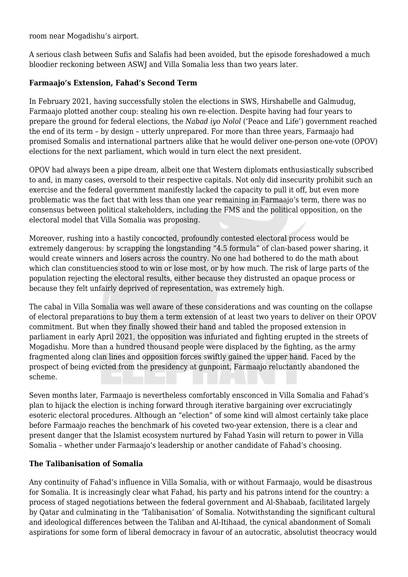room near Mogadishu's airport.

A serious clash between Sufis and Salafis had been avoided, but the episode foreshadowed a much bloodier reckoning between ASWJ and Villa Somalia less than two years later.

## **Farmaajo's Extension, Fahad's Second Term**

In February 2021, having successfully stolen the elections in SWS, Hirshabelle and Galmudug, Farmaajo plotted another coup: stealing his own re-election. Despite having had four years to prepare the ground for federal elections, the *Nabad iyo Nolol* ('Peace and Life') government reached the end of its term – by design – utterly unprepared. For more than three years, Farmaajo had promised Somalis and international partners alike that he would deliver one-person one-vote (OPOV) elections for the next parliament, which would in turn elect the next president.

OPOV had always been a pipe dream, albeit one that Western diplomats enthusiastically subscribed to and, in many cases, oversold to their respective capitals. Not only did insecurity prohibit such an exercise and the federal government manifestly lacked the capacity to pull it off, but even more problematic was the fact that with less than one year remaining in Farmaajo's term, there was no consensus between political stakeholders, including the FMS and the political opposition, on the electoral model that Villa Somalia was proposing.

Moreover, rushing into a hastily concocted, profoundly contested electoral process would be extremely dangerous: by scrapping the longstanding "4.5 formula" of clan-based power sharing, it would create winners and losers across the country. No one had bothered to do the math about which clan constituencies stood to win or lose most, or by how much. The risk of large parts of the population rejecting the electoral results, either because they distrusted an opaque process or because they felt unfairly deprived of representation, was extremely high.

The cabal in Villa Somalia was well aware of these considerations and was counting on the collapse of electoral preparations to buy them a term extension of at least two years to deliver on their OPOV commitment. But when they finally showed their hand and tabled the proposed extension in parliament in early April 2021, the opposition was infuriated and fighting erupted in the streets of Mogadishu. More than a hundred thousand people were displaced by the fighting, as the army fragmented along clan lines and opposition forces swiftly gained the upper hand. Faced by the prospect of being evicted from the presidency at gunpoint, Farmaajo reluctantly abandoned the scheme.

Seven months later, Farmaajo is nevertheless comfortably ensconced in Villa Somalia and Fahad's plan to hijack the election is inching forward through iterative bargaining over excruciatingly esoteric electoral procedures. Although an "election" of some kind will almost certainly take place before Farmaajo reaches the benchmark of his coveted two-year extension, there is a clear and present danger that the Islamist ecosystem nurtured by Fahad Yasin will return to power in Villa Somalia – whether under Farmaajo's leadership or another candidate of Fahad's choosing.

### **The Talibanisation of Somalia**

Any continuity of Fahad's influence in Villa Somalia, with or without Farmaajo, would be disastrous for Somalia. It is increasingly clear what Fahad, his party and his patrons intend for the country: a process of staged negotiations between the federal government and Al-Shabaab, facilitated largely by Qatar and culminating in the 'Talibanisation' of Somalia. Notwithstanding the significant cultural and ideological differences between the Taliban and Al-Itihaad, the cynical abandonment of Somali aspirations for some form of liberal democracy in favour of an autocratic, absolutist theocracy would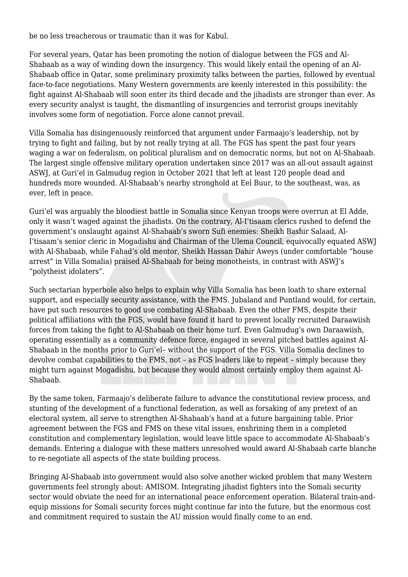be no less treacherous or traumatic than it was for Kabul.

For several years, Qatar has been promoting the notion of dialogue between the FGS and Al-Shabaab as a way of winding down the insurgency. This would likely entail the opening of an Al-Shabaab office in Qatar, some preliminary proximity talks between the parties, followed by eventual face-to-face negotiations. Many Western governments are keenly interested in this possibility: the fight against Al-Shabaab will soon enter its third decade and the jihadists are stronger than ever. As every security analyst is taught, the dismantling of insurgencies and terrorist groups inevitably involves some form of negotiation. Force alone cannot prevail.

Villa Somalia has disingenuously reinforced that argument under Farmaajo's leadership, not by trying to fight and failing, but by not really trying at all. The FGS has spent the past four years waging a war on federalism, on political pluralism and on democratic norms, but not on Al-Shabaab. The largest single offensive military operation undertaken since 2017 was an all-out assault against ASWJ, at Guri'el in Galmudug region in October 2021 that left at least 120 people dead and hundreds more wounded. Al-Shabaab's nearby stronghold at Eel Buur, to the southeast, was, as ever, left in peace.

Guri'el was arguably the bloodiest battle in Somalia since Kenyan troops were overrun at El Adde, only it wasn't waged against the jihadists. On the contrary, Al-I'tisaam clerics rushed to defend the government's onslaught against Al-Shabaab's sworn Sufi enemies: Sheikh Bashir Salaad, Al-I'tisaam's senior cleric in Mogadishu and Chairman of the Ulema Council, equivocally equated ASWJ with Al-Shabaab, while Fahad's old mentor, Sheikh Hassan Dahir Aweys (under comfortable "house arrest" in Villa Somalia) praised Al-Shabaab for being monotheists, in contrast with ASWJ's "polytheist idolaters".

Such sectarian hyperbole also helps to explain why Villa Somalia has been loath to share external support, and especially security assistance, with the FMS. Jubaland and Puntland would, for certain, have put such resources to good use combating Al-Shabaab. Even the other FMS, despite their political affiliations with the FGS, would have found it hard to prevent locally recruited Daraawiish forces from taking the fight to Al-Shabaab on their home turf. Even Galmudug's own Daraawiish, operating essentially as a community defence force, engaged in several pitched battles against Al-Shabaab in the months prior to Guri'el– without the support of the FGS. Villa Somalia declines to devolve combat capabilities to the FMS, not – as FGS leaders like to repeat – simply because they might turn against Mogadishu, but because they would almost certainly employ them against Al-Shabaab.

By the same token, Farmaajo's deliberate failure to advance the constitutional review process, and stunting of the development of a functional federation, as well as forsaking of any pretext of an electoral system, all serve to strengthen Al-Shabaab's hand at a future bargaining table. Prior agreement between the FGS and FMS on these vital issues, enshrining them in a completed constitution and complementary legislation, would leave little space to accommodate Al-Shabaab's demands. Entering a dialogue with these matters unresolved would award Al-Shabaab carte blanche to re-negotiate all aspects of the state building process.

Bringing Al-Shabaab into government would also solve another wicked problem that many Western governments feel strongly about: AMISOM. Integrating jihadist fighters into the Somali security sector would obviate the need for an international peace enforcement operation. Bilateral train-andequip missions for Somali security forces might continue far into the future, but the enormous cost and commitment required to sustain the AU mission would finally come to an end.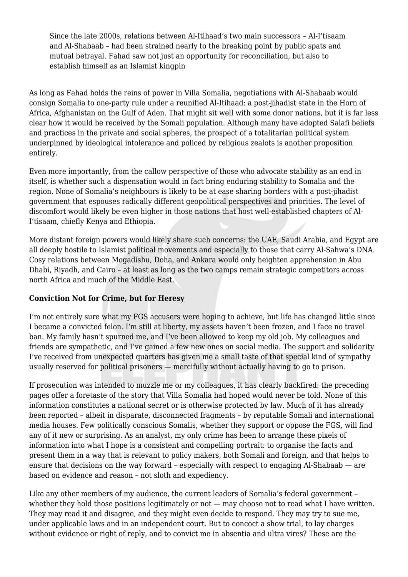Since the late 2000s, relations between Al-Itihaad's two main successors – Al-I'tisaam and Al-Shabaab – had been strained nearly to the breaking point by public spats and mutual betrayal. Fahad saw not just an opportunity for reconciliation, but also to establish himself as an Islamist kingpin

As long as Fahad holds the reins of power in Villa Somalia, negotiations with Al-Shabaab would consign Somalia to one-party rule under a reunified Al-Itihaad: a post-jihadist state in the Horn of Africa, Afghanistan on the Gulf of Aden. That might sit well with some donor nations, but it is far less clear how it would be received by the Somali population. Although many have adopted Salafi beliefs and practices in the private and social spheres, the prospect of a totalitarian political system underpinned by ideological intolerance and policed by religious zealots is another proposition entirely.

Even more importantly, from the callow perspective of those who advocate stability as an end in itself, is whether such a dispensation would in fact bring enduring stability to Somalia and the region. None of Somalia's neighbours is likely to be at ease sharing borders with a post-jihadist government that espouses radically different geopolitical perspectives and priorities. The level of discomfort would likely be even higher in those nations that host well-established chapters of Al-I'tisaam, chiefly Kenya and Ethiopia.

More distant foreign powers would likely share such concerns: the UAE, Saudi Arabia, and Egypt are all deeply hostile to Islamist political movements and especially to those that carry Al-Sahwa's DNA. Cosy relations between Mogadishu, Doha, and Ankara would only heighten apprehension in Abu Dhabi, Riyadh, and Cairo – at least as long as the two camps remain strategic competitors across north Africa and much of the Middle East.

## **Conviction Not for Crime, but for Heresy**

I'm not entirely sure what my FGS accusers were hoping to achieve, but life has changed little since I became a convicted felon. I'm still at liberty, my assets haven't been frozen, and I face no travel ban. My family hasn't spurned me, and I've been allowed to keep my old job. My colleagues and friends are sympathetic, and I've gained a few new ones on social media. The support and solidarity I've received from unexpected quarters has given me a small taste of that special kind of sympathy usually reserved for political prisoners — mercifully without actually having to go to prison.

If prosecution was intended to muzzle me or my colleagues, it has clearly backfired: the preceding pages offer a foretaste of the story that Villa Somalia had hoped would never be told. None of this information constitutes a national secret or is otherwise protected by law. Much of it has already been reported – albeit in disparate, disconnected fragments – by reputable Somali and international media houses. Few politically conscious Somalis, whether they support or oppose the FGS, will find any of it new or surprising. As an analyst, my only crime has been to arrange these pixels of information into what I hope is a consistent and compelling portrait: to organise the facts and present them in a way that is relevant to policy makers, both Somali and foreign, and that helps to ensure that decisions on the way forward – especially with respect to engaging Al-Shabaab — are based on evidence and reason – not sloth and expediency.

Like any other members of my audience, the current leaders of Somalia's federal government – whether they hold those positions legitimately or not — may choose not to read what I have written. They may read it and disagree, and they might even decide to respond. They may try to sue me, under applicable laws and in an independent court. But to concoct a show trial, to lay charges without evidence or right of reply, and to convict me in absentia and ultra vires? These are the